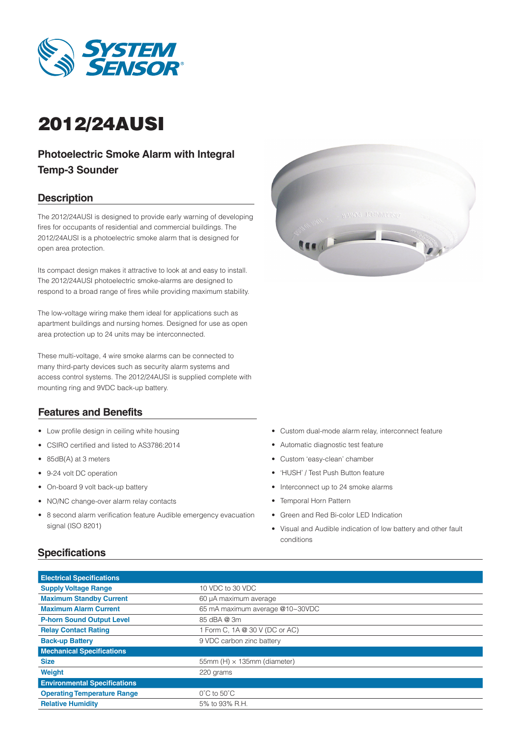

# 2012/24AUSI

# **Photoelectric Smoke Alarm with Integral Temp-3 Sounder**

### **Description**

The 2012/24AUSI is designed to provide early warning of developing fires for occupants of residential and commercial buildings. The 2012/24AUSI is a photoelectric smoke alarm that is designed for open area protection.

Its compact design makes it attractive to look at and easy to install. The 2012/24AUSI photoelectric smoke-alarms are designed to respond to a broad range of fires while providing maximum stability.

The low-voltage wiring make them ideal for applications such as apartment buildings and nursing homes. Designed for use as open area protection up to 24 units may be interconnected.

These multi-voltage, 4 wire smoke alarms can be connected to many third-party devices such as security alarm systems and access control systems. The 2012/24AUSI is supplied complete with mounting ring and 9VDC back-up battery.

#### **Features and Benefits**

- Low profile design in ceiling white housing
- • CSIRO certified and listed to AS3786:2014
- 85dB(A) at 3 meters
- 9-24 volt DC operation
- On-board 9 volt back-up battery
- • NO/NC change-over alarm relay contacts
- 8 second alarm verification feature Audible emergency evacuation signal (ISO 8201)



- • Custom dual-mode alarm relay, interconnect feature
- • Automatic diagnostic test feature
- • Custom 'easy-clean' chamber
- • 'HUSH' / Test Push Button feature
- Interconnect up to 24 smoke alarms
- Temporal Horn Pattern
- • Green and Red Bi-color LED Indication
- • Visual and Audible indication of low battery and other fault conditions

#### **Specifications**

| <b>Electrical Specifications</b>                                |                                    |  |  |  |  |  |  |
|-----------------------------------------------------------------|------------------------------------|--|--|--|--|--|--|
| <b>Supply Voltage Range</b>                                     | 10 VDC to 30 VDC                   |  |  |  |  |  |  |
| <b>Maximum Standby Current</b><br>60 µA maximum average         |                                    |  |  |  |  |  |  |
| <b>Maximum Alarm Current</b><br>65 mA maximum average @10~30VDC |                                    |  |  |  |  |  |  |
| <b>P-horn Sound Output Level</b>                                | 85 dBA @ 3m                        |  |  |  |  |  |  |
| <b>Relay Contact Rating</b>                                     | 1 Form C, 1A @ 30 V (DC or AC)     |  |  |  |  |  |  |
| <b>Back-up Battery</b>                                          | 9 VDC carbon zinc battery          |  |  |  |  |  |  |
| <b>Mechanical Specifications</b>                                |                                    |  |  |  |  |  |  |
| <b>Size</b>                                                     | 55mm (H) $\times$ 135mm (diameter) |  |  |  |  |  |  |
| <b>Weight</b>                                                   | 220 grams                          |  |  |  |  |  |  |
| <b>Environmental Specifications</b>                             |                                    |  |  |  |  |  |  |
| <b>Operating Temperature Range</b>                              | $0^{\circ}$ C to 50 $^{\circ}$ C   |  |  |  |  |  |  |
| <b>Relative Humidity</b>                                        | 5% to 93% R.H.                     |  |  |  |  |  |  |